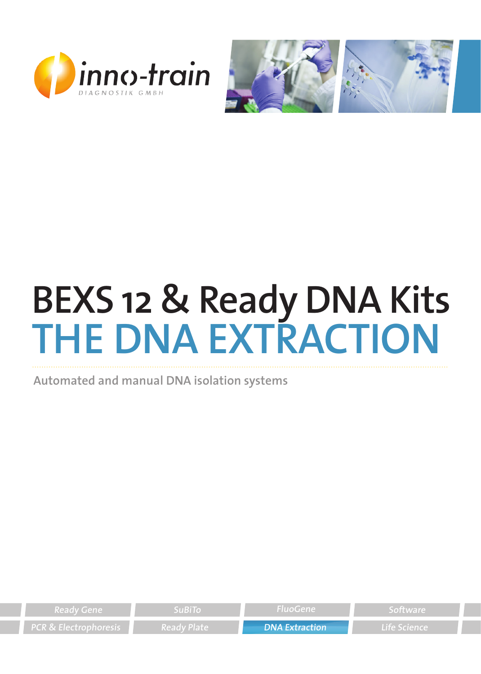



# **BEXS 12 & Ready DNA Kits THE DNA EXTRACTION**

**Automated and manual DNA isolation systems**

| $\blacksquare$ Ready Gene $\blacksquare$ | <b>SuBiTo</b> | - FluoGene            | Software            |
|------------------------------------------|---------------|-----------------------|---------------------|
| <b>PCR &amp; Electrophoresis</b>         | – Ready Plate | <b>DNA Extraction</b> | <b>Life Science</b> |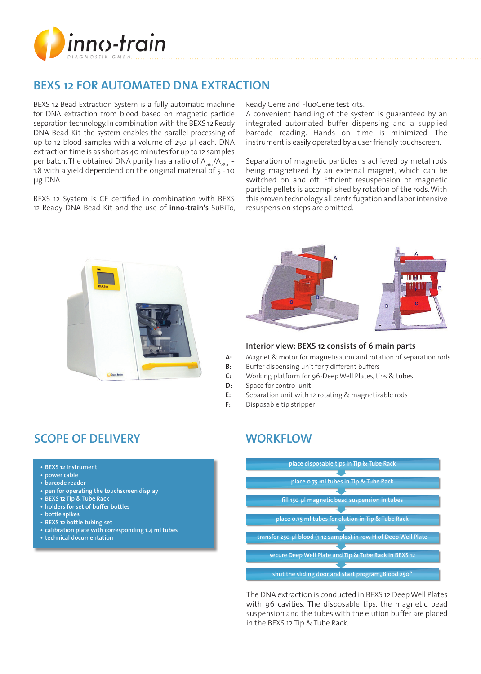

# **BEXS 12 FOR AUTOMATED DNA EXTRACTION**

BEXS 12 Bead Extraction System is a fully automatic machine for DNA extraction from blood based on magnetic particle separation technology. In combination with the BEXS 12 Ready DNA Bead Kit the system enables the parallel processing of up to 12 blood samples with a volume of 250 µl each. DNA extraction time is as short as 40 minutes for up to 12 samples per batch. The obtained DNA purity has a ratio of  $A_{260}/A_{280} \sim$ 1.8 with a yield dependend on the original material of 5 - 10 µg DNA.

BEXS 12 System is CE certified in combination with BEXS 12 Ready DNA Bead Kit and the use of **inno-train's** SuBiTo, Ready Gene and FluoGene test kits.

A convenient handling of the system is guaranteed by an integrated automated buffer dispensing and a supplied barcode reading. Hands on time is minimized. The instrument is easily operated by a user friendly touchscreen.

Separation of magnetic particles is achieved by metal rods being magnetized by an external magnet, which can be switched on and off. Efficient resuspension of magnetic particle pellets is accomplished by rotation of the rods. With this proven technology all centrifugation and labor intensive resuspension steps are omitted.





#### **Interior view: BEXS 12 consists of 6 main parts**

**A:** Magnet & motor for magnetisation and rotation of separation rods

- **B:** Buffer dispensing unit for 7 different buffers
- **C:** Working platform for 96-Deep Well Plates, tips & tubes
- **D:** Space for control unit
- **E:** Separation unit with 12 rotating & magnetizable rods
- **F:** Disposable tip stripper

# **SCOPE OF DELIVERY**

- **• BEXS 12 instrument**
- **• power cable**
- **• barcode reader**
- **• pen for operating the touchscreen display**
- **• BEXS 12 Tip & Tube Rack**
- **• holders for set of buffer bottles**
- **• bottle spikes**
- **• BEXS 12 bottle tubing set**
- **• calibration plate with corresponding 1.4 ml tubes**
- **• technical documentation**

# **WORKFLOW**



The DNA extraction is conducted in BEXS 12 Deep Well Plates with 96 cavities. The disposable tips, the magnetic bead suspension and the tubes with the elution buffer are placed in the BEXS 12 Tip & Tube Rack.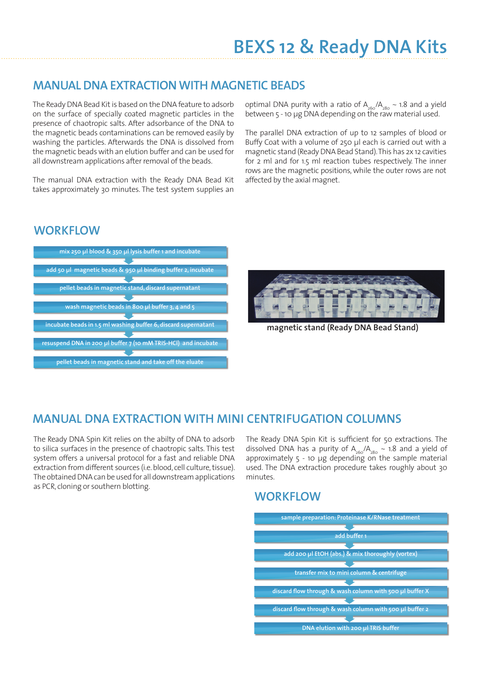### **MANUAL DNA EXTRACTION WITH MAGNETIC BEADS**

The Ready DNA Bead Kit is based on the DNA feature to adsorb on the surface of specially coated magnetic particles in the presence of chaotropic salts. After adsorbance of the DNA to the magnetic beads contaminations can be removed easily by washing the particles. Afterwards the DNA is dissolved from the magnetic beads with an elution buffer and can be used for all downstream applications after removal of the beads.

The manual DNA extraction with the Ready DNA Bead Kit takes approximately 30 minutes. The test system supplies an

optimal DNA purity with a ratio of  $A_{260}/A_{280} \sim 1.8$  and a yield between 5 - 10 µg DNA depending on the raw material used.

The parallel DNA extraction of up to 12 samples of blood or Buffy Coat with a volume of 250 µl each is carried out with a magnetic stand (Ready DNA Bead Stand). This has 2x 12 cavities for 2 ml and for 1.5 ml reaction tubes respectively. The inner rows are the magnetic positions, while the outer rows are not affected by the axial magnet.

#### **WORKFLOW**





**magnetic stand (Ready DNA Bead Stand)**

### **MANUAL DNA EXTRACTION WITH MINI CENTRIFUGATION COLUMNS**

The Ready DNA Spin Kit relies on the abilty of DNA to adsorb to silica surfaces in the presence of chaotropic salts. This test system offers a universal protocol for a fast and reliable DNA extraction from different sources (i.e. blood, cell culture, tissue). The obtained DNA can be used for all downstream applications as PCR, cloning or southern blotting.

The Ready DNA Spin Kit is sufficient for 50 extractions. The dissolved DNA has a purity of  $A_{260}/A_{280} \sim 1.8$  and a yield of approximately  $5 - 10$  µg depending on the sample material used. The DNA extraction procedure takes roughly about 30 minutes.

#### **WORKFLOW**